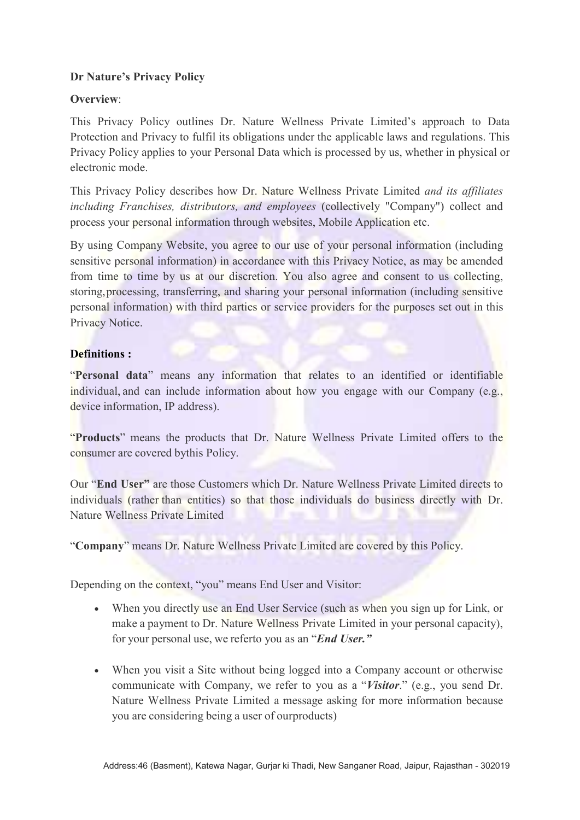## Dr Nature's Privacy Policy

### Overview:

This Privacy Policy outlines Dr. Nature Wellness Private Limited's approach to Data Protection and Privacy to fulfil its obligations under the applicable laws and regulations. This Privacy Policy applies to your Personal Data which is processed by us, whether in physical or electronic mode.

This Privacy Policy describes how Dr. Nature Wellness Private Limited and its affiliates including Franchises, distributors, and employees (collectively "Company") collect and process your personal information through websites, Mobile Application etc.

By using Company Website, you agree to our use of your personal information (including sensitive personal information) in accordance with this Privacy Notice, as may be amended from time to time by us at our discretion. You also agree and consent to us collecting, storing, processing, transferring, and sharing your personal information (including sensitive personal information) with third parties or service providers for the purposes set out in this Privacy Notice.

#### Definitions :

"Personal data" means any information that relates to an identified or identifiable individual, and can include information about how you engage with our Company (e.g., device information, IP address).

"Products" means the products that Dr. Nature Wellness Private Limited offers to the consumer are covered by this Policy.

Our "End User" are those Customers which Dr. Nature Wellness Private Limited directs to individuals (rather than entities) so that those individuals do business directly with Dr. Nature Wellness Private Limited

"Company" means Dr. Nature Wellness Private Limited are covered by this Policy.

Depending on the context, "you" means End User and Visitor:

- When you directly use an End User Service (such as when you sign up for Link, or make a payment to Dr. Nature Wellness Private Limited in your personal capacity), for your personal use, we referto you as an "*End User*."
- When you visit a Site without being logged into a Company account or otherwise communicate with Company, we refer to you as a "Visitor." (e.g., you send Dr. Nature Wellness Private Limited a message asking for more information because you are considering being a user of our products)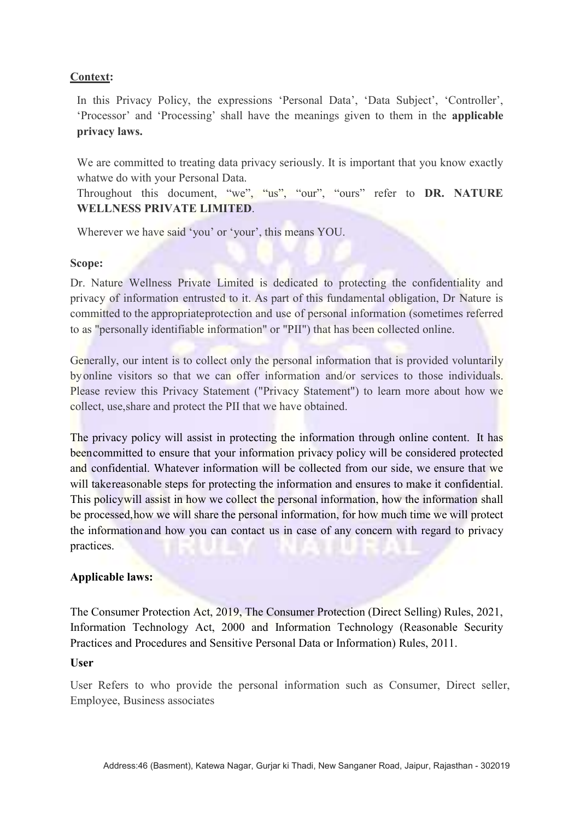### Context:

In this Privacy Policy, the expressions 'Personal Data', 'Data Subject', 'Controller', 'Processor' and 'Processing' shall have the meanings given to them in the applicable privacy laws.

We are committed to treating data privacy seriously. It is important that you know exactly what we do with your Personal Data.

Throughout this document, "we", "us", "our", "ours" refer to DR. NATURE WELLNESS PRIVATE LIMITED.

Wherever we have said 'you' or 'your', this means YOU.

#### Scope:

Dr. Nature Wellness Private Limited is dedicated to protecting the confidentiality and privacy of information entrusted to it. As part of this fundamental obligation, Dr Nature is committed to the appropriate protection and use of personal information (sometimes referred to as "personally identifiable information" or "PII") that has been collected online.

Generally, our intent is to collect only the personal information that is provided voluntarily by online visitors so that we can offer information and/or services to those individuals. Please review this Privacy Statement ("Privacy Statement") to learn more about how we collect, use, share and protect the PII that we have obtained.

The privacy policy will assist in protecting the information through online content. It has been committed to ensure that your information privacy policy will be considered protected and confidential. Whatever information will be collected from our side, we ensure that we will take reasonable steps for protecting the information and ensures to make it confidential. This policy will assist in how we collect the personal information, how the information shall be processed, how we will share the personal information, for how much time we will protect the information and how you can contact us in case of any concern with regard to privacy practices.

### Applicable laws:

The Consumer Protection Act, 2019, The Consumer Protection (Direct Selling) Rules, 2021, Information Technology Act, 2000 and Information Technology (Reasonable Security Practices and Procedures and Sensitive Personal Data or Information) Rules, 2011.

#### User

User Refers to who provide the personal information such as Consumer, Direct seller, Employee, Business associates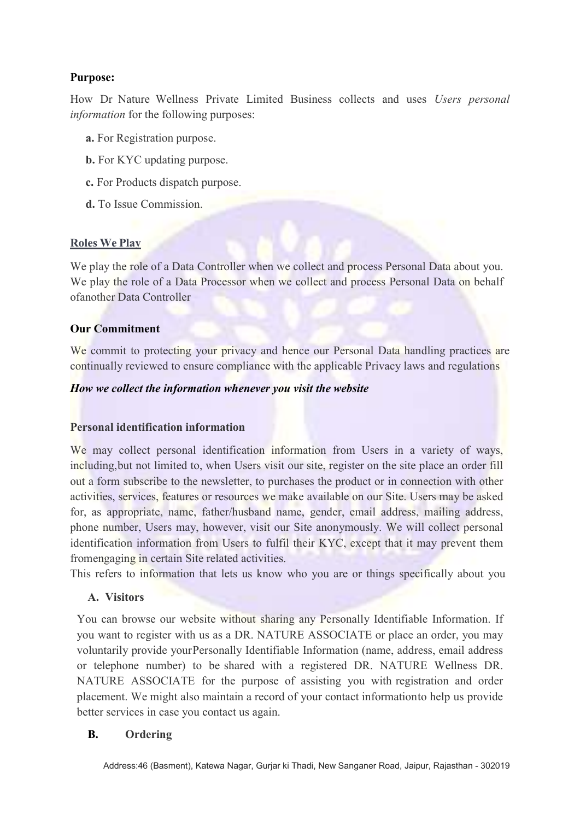## Purpose:

How Dr Nature Wellness Private Limited Business collects and uses Users personal information for the following purposes:

- a. For Registration purpose.
- b. For KYC updating purpose.
- c. For Products dispatch purpose.
- d. To Issue Commission.

### Roles We Play

We play the role of a Data Controller when we collect and process Personal Data about you. We play the role of a Data Processor when we collect and process Personal Data on behalf of another Data Controller

#### Our Commitment

We commit to protecting your privacy and hence our Personal Data handling practices are continually reviewed to ensure compliance with the applicable Privacy laws and regulations

#### How we collect the information whenever you visit the website

### Personal identification information

We may collect personal identification information from Users in a variety of ways, including, but not limited to, when Users visit our site, register on the site place an order fill out a form subscribe to the newsletter, to purchases the product or in connection with other activities, services, features or resources we make available on our Site. Users may be asked for, as appropriate, name, father/husband name, gender, email address, mailing address, phone number, Users may, however, visit our Site anonymously. We will collect personal identification information from Users to fulfil their KYC, except that it may prevent them from engaging in certain Site related activities.

This refers to information that lets us know who you are or things specifically about you

# A. Visitors

You can browse our website without sharing any Personally Identifiable Information. If you want to register with us as a DR. NATURE ASSOCIATE or place an order, you may voluntarily provide your Personally Identifiable Information (name, address, email address or telephone number) to be shared with a registered DR. NATURE Wellness DR. NATURE ASSOCIATE for the purpose of assisting you with registration and order placement. We might also maintain a record of your contact information to help us provide better services in case you contact us again.

### B. Ordering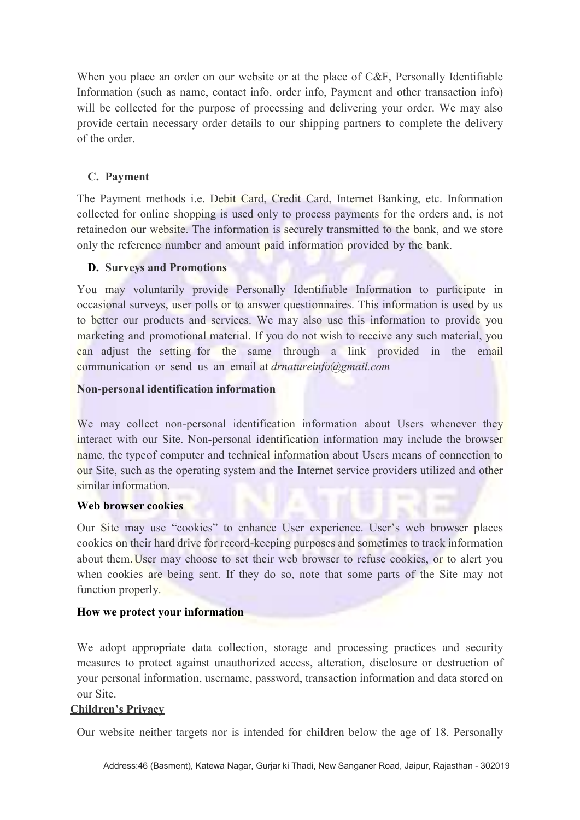When you place an order on our website or at the place of C&F, Personally Identifiable Information (such as name, contact info, order info, Payment and other transaction info) will be collected for the purpose of processing and delivering your order. We may also provide certain necessary order details to our shipping partners to complete the delivery of the order.

### C. Payment

The Payment methods i.e. Debit Card, Credit Card, Internet Banking, etc. Information collected for online shopping is used only to process payments for the orders and, is not retained on our website. The information is securely transmitted to the bank, and we store only the reference number and amount paid information provided by the bank.

### D. Surveys and Promotions

You may voluntarily provide Personally Identifiable Information to participate in occasional surveys, user polls or to answer questionnaires. This information is used by us to better our products and services. We may also use this information to provide you marketing and promotional material. If you do not wish to receive any such material, you can adjust the setting for the same through a link provided in the email communication or send us an email at *drnatureinfo@gmail.com* 

### Non-personal identification information

We may collect non-personal identification information about Users whenever they interact with our Site. Non-personal identification information may include the browser name, the type of computer and technical information about Users means of connection to our Site, such as the operating system and the Internet service providers utilized and other similar information.

### Web browser cookies

Our Site may use "cookies" to enhance User experience. User's web browser places cookies on their hard drive for record-keeping purposes and sometimes to track information about them. User may choose to set their web browser to refuse cookies, or to alert you when cookies are being sent. If they do so, note that some parts of the Site may not function properly.

### How we protect your information

We adopt appropriate data collection, storage and processing practices and security measures to protect against unauthorized access, alteration, disclosure or destruction of your personal information, username, password, transaction information and data stored on our Site.

### Children's Privacy

Our website neither targets nor is intended for children below the age of 18. Personally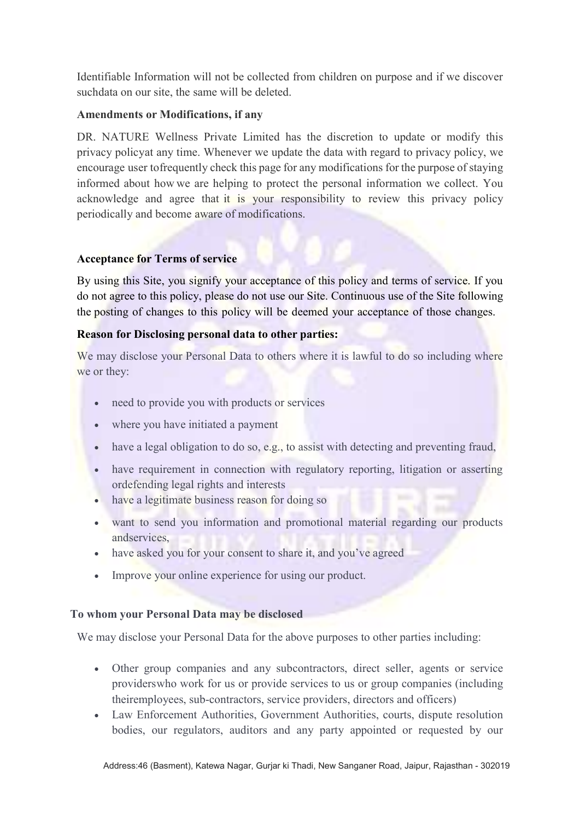Identifiable Information will not be collected from children on purpose and if we discover such data on our site, the same will be deleted.

### Amendments or Modifications, if any

DR. NATURE Wellness Private Limited has the discretion to update or modify this privacy policy at any time. Whenever we update the data with regard to privacy policy, we encourage user to frequently check this page for any modifications for the purpose of staying informed about how we are helping to protect the personal information we collect. You acknowledge and agree that it is your responsibility to review this privacy policy periodically and become aware of modifications.

### Acceptance for Terms of service

By using this Site, you signify your acceptance of this policy and terms of service. If you do not agree to this policy, please do not use our Site. Continuous use of the Site following the posting of changes to this policy will be deemed your acceptance of those changes.

## Reason for Disclosing personal data to other parties:

We may disclose your Personal Data to others where it is lawful to do so including where we or they:

- need to provide you with products or services
- where you have initiated a payment
- have a legal obligation to do so, e.g., to assist with detecting and preventing fraud,
- have requirement in connection with regulatory reporting, litigation or asserting or defending legal rights and interests
- have a legitimate business reason for doing so
- want to send you information and promotional material regarding our products and services,
- have asked you for your consent to share it, and you've agreed
- Improve your online experience for using our product.

### To whom your Personal Data may be disclosed

We may disclose your Personal Data for the above purposes to other parties including:

- Other group companies and any subcontractors, direct seller, agents or service providers who work for us or provide services to us or group companies (including their employees, sub-contractors, service providers, directors and officers)
- Law Enforcement Authorities, Government Authorities, courts, dispute resolution bodies, our regulators, auditors and any party appointed or requested by our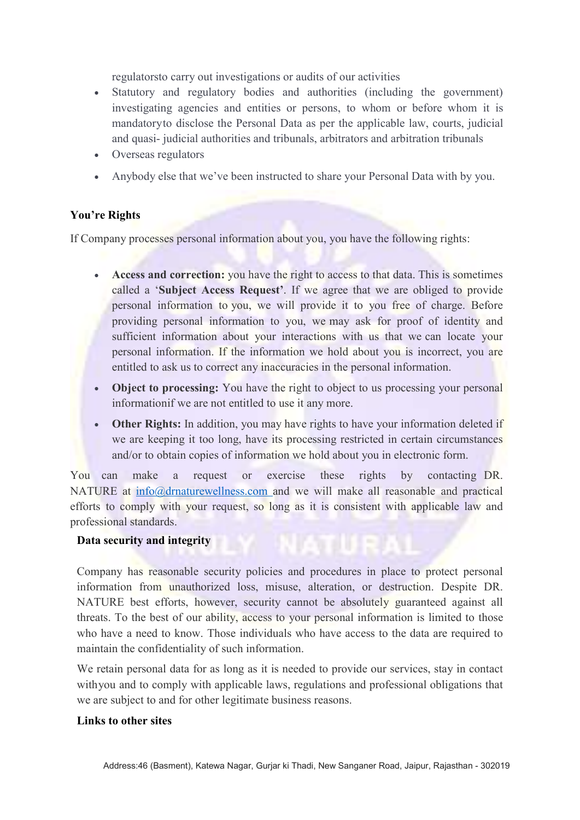regulators to carry out investigations or audits of our activities

- Statutory and regulatory bodies and authorities (including the government) investigating agencies and entities or persons, to whom or before whom it is mandatory to disclose the Personal Data as per the applicable law, courts, judicial and quasi- judicial authorities and tribunals, arbitrators and arbitration tribunals
- Overseas regulators
- Anybody else that we've been instructed to share your Personal Data with by you.

## You're Rights

If Company processes personal information about you, you have the following rights:

- Access and correction: you have the right to access to that data. This is sometimes called a 'Subject Access Request'. If we agree that we are obliged to provide personal information to you, we will provide it to you free of charge. Before providing personal information to you, we may ask for proof of identity and sufficient information about your interactions with us that we can locate your personal information. If the information we hold about you is incorrect, you are entitled to ask us to correct any inaccuracies in the personal information.
- Object to processing: You have the right to object to us processing your personal information if we are not entitled to use it any more.
- Other Rights: In addition, you may have rights to have your information deleted if we are keeping it too long, have its processing restricted in certain circumstances and/or to obtain copies of information we hold about you in electronic form.

You can make a request or exercise these rights by contacting DR. NATURE at info@drnaturewellness.com and we will make all reasonable and practical efforts to comply with your request, so long as it is consistent with applicable law and professional standards.

### Data security and integrity

Company has reasonable security policies and procedures in place to protect personal information from unauthorized loss, misuse, alteration, or destruction. Despite DR. NATURE best efforts, however, security cannot be absolutely guaranteed against all threats. To the best of our ability, access to your personal information is limited to those who have a need to know. Those individuals who have access to the data are required to maintain the confidentiality of such information.

We retain personal data for as long as it is needed to provide our services, stay in contact with you and to comply with applicable laws, regulations and professional obligations that we are subject to and for other legitimate business reasons.

#### Links to other sites